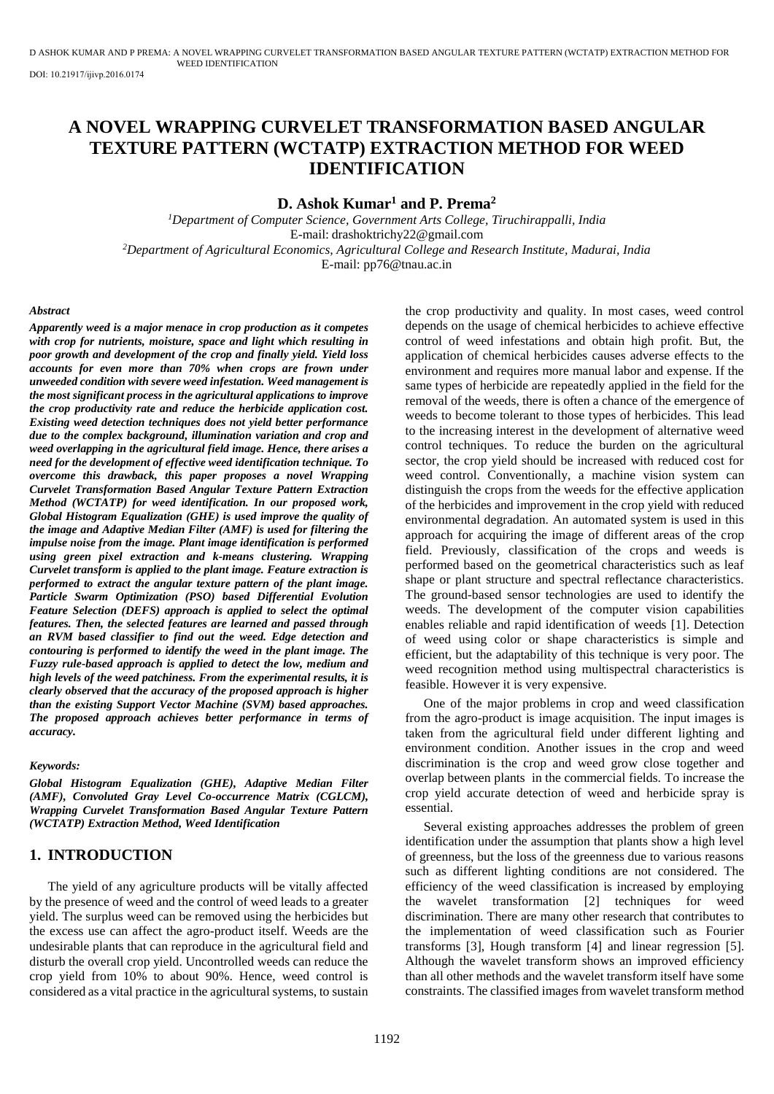# **A NOVEL WRAPPING CURVELET TRANSFORMATION BASED ANGULAR TEXTURE PATTERN (WCTATP) EXTRACTION METHOD FOR WEED IDENTIFICATION**

## **D. Ashok Kumar<sup>1</sup> and P. Prema<sup>2</sup>**

*<sup>1</sup>Department of Computer Science, Government Arts College, Tiruchirappalli, India*  E-mail: drashoktrichy22@gmail.com *<sup>2</sup>Department of Agricultural Economics, Agricultural College and Research Institute, Madurai, India*  E-mail: pp76@tnau.ac.in

#### *Abstract*

*Apparently weed is a major menace in crop production as it competes with crop for nutrients, moisture, space and light which resulting in poor growth and development of the crop and finally yield. Yield loss accounts for even more than 70% when crops are frown under unweeded condition with severe weed infestation. Weed management is the most significant process in the agricultural applications to improve the crop productivity rate and reduce the herbicide application cost. Existing weed detection techniques does not yield better performance due to the complex background, illumination variation and crop and weed overlapping in the agricultural field image. Hence, there arises a need for the development of effective weed identification technique. To overcome this drawback, this paper proposes a novel Wrapping Curvelet Transformation Based Angular Texture Pattern Extraction Method (WCTATP) for weed identification. In our proposed work, Global Histogram Equalization (GHE) is used improve the quality of the image and Adaptive Median Filter (AMF) is used for filtering the impulse noise from the image. Plant image identification is performed using green pixel extraction and k-means clustering. Wrapping Curvelet transform is applied to the plant image. Feature extraction is performed to extract the angular texture pattern of the plant image. Particle Swarm Optimization (PSO) based Differential Evolution Feature Selection (DEFS) approach is applied to select the optimal features. Then, the selected features are learned and passed through an RVM based classifier to find out the weed. Edge detection and contouring is performed to identify the weed in the plant image. The Fuzzy rule-based approach is applied to detect the low, medium and high levels of the weed patchiness. From the experimental results, it is clearly observed that the accuracy of the proposed approach is higher than the existing Support Vector Machine (SVM) based approaches. The proposed approach achieves better performance in terms of accuracy.* 

#### *Keywords:*

*Global Histogram Equalization (GHE), Adaptive Median Filter (AMF), Convoluted Gray Level Co-occurrence Matrix (CGLCM), Wrapping Curvelet Transformation Based Angular Texture Pattern (WCTATP) Extraction Method, Weed Identification*

## **1. INTRODUCTION**

The yield of any agriculture products will be vitally affected by the presence of weed and the control of weed leads to a greater yield. The surplus weed can be removed using the herbicides but the excess use can affect the agro-product itself. Weeds are the undesirable plants that can reproduce in the agricultural field and disturb the overall crop yield. Uncontrolled weeds can reduce the crop yield from 10% to about 90%. Hence, weed control is considered as a vital practice in the agricultural systems, to sustain the crop productivity and quality. In most cases, weed control depends on the usage of chemical herbicides to achieve effective control of weed infestations and obtain high profit. But, the application of chemical herbicides causes adverse effects to the environment and requires more manual labor and expense. If the same types of herbicide are repeatedly applied in the field for the removal of the weeds, there is often a chance of the emergence of weeds to become tolerant to those types of herbicides. This lead to the increasing interest in the development of alternative weed control techniques. To reduce the burden on the agricultural sector, the crop yield should be increased with reduced cost for weed control. Conventionally, a machine vision system can distinguish the crops from the weeds for the effective application of the herbicides and improvement in the crop yield with reduced environmental degradation. An automated system is used in this approach for acquiring the image of different areas of the crop field. Previously, classification of the crops and weeds is performed based on the geometrical characteristics such as leaf shape or plant structure and spectral reflectance characteristics. The ground-based sensor technologies are used to identify the weeds. The development of the computer vision capabilities enables reliable and rapid identification of weeds [1]. Detection of weed using color or shape characteristics is simple and efficient, but the adaptability of this technique is very poor. The weed recognition method using multispectral characteristics is feasible. However it is very expensive.

One of the major problems in crop and weed classification from the agro-product is image acquisition. The input images is taken from the agricultural field under different lighting and environment condition. Another issues in the crop and weed discrimination is the crop and weed grow close together and overlap between plants in the commercial fields. To increase the crop yield accurate detection of weed and herbicide spray is essential.

Several existing approaches addresses the problem of green identification under the assumption that plants show a high level of greenness, but the loss of the greenness due to various reasons such as different lighting conditions are not considered. The efficiency of the weed classification is increased by employing the wavelet transformation [2] techniques for weed discrimination. There are many other research that contributes to the implementation of weed classification such as Fourier transforms [3], Hough transform [4] and linear regression [5]. Although the wavelet transform shows an improved efficiency than all other methods and the wavelet transform itself have some constraints. The classified images from wavelet transform method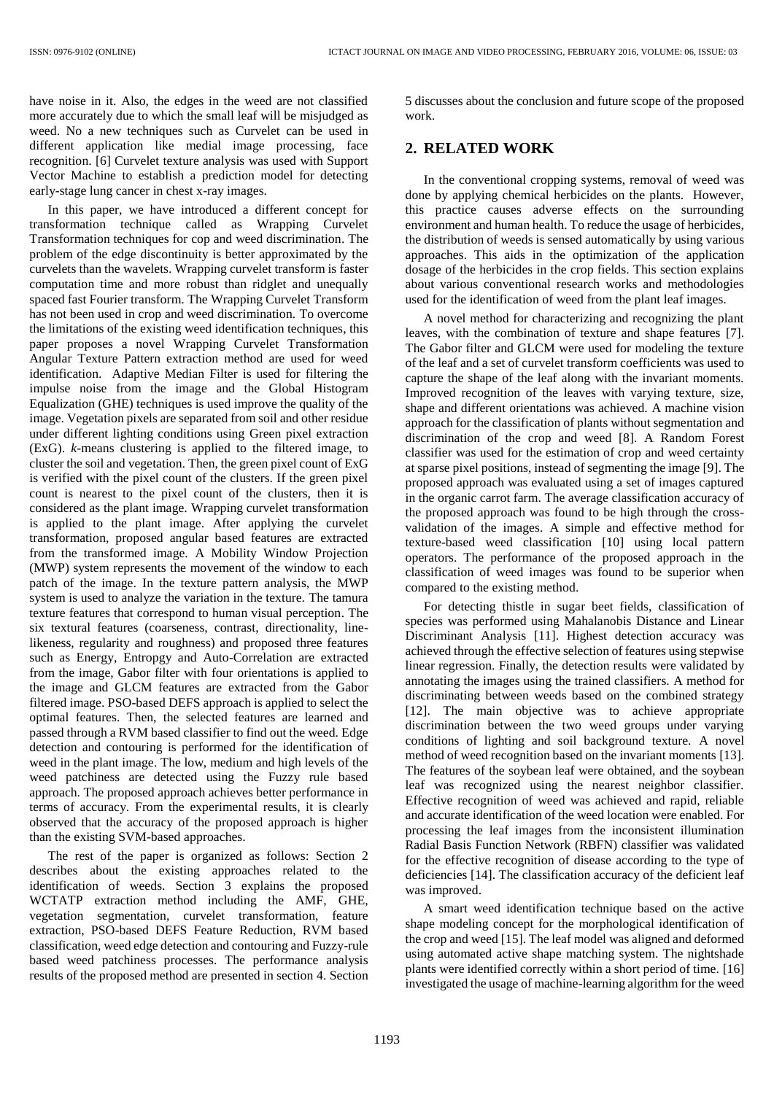have noise in it. Also, the edges in the weed are not classified more accurately due to which the small leaf will be misjudged as weed. No a new techniques such as Curvelet can be used in different application like medial image processing, face recognition. [6] Curvelet texture analysis was used with Support Vector Machine to establish a prediction model for detecting early-stage lung cancer in chest x-ray images.

In this paper, we have introduced a different concept for transformation technique called as Wrapping Curvelet Transformation techniques for cop and weed discrimination. The problem of the edge discontinuity is better approximated by the curvelets than the wavelets. Wrapping curvelet transform is faster computation time and more robust than ridglet and unequally spaced fast Fourier transform. The Wrapping Curvelet Transform has not been used in crop and weed discrimination. To overcome the limitations of the existing weed identification techniques, this paper proposes a novel Wrapping Curvelet Transformation Angular Texture Pattern extraction method are used for weed identification. Adaptive Median Filter is used for filtering the impulse noise from the image and the Global Histogram Equalization (GHE) techniques is used improve the quality of the image. Vegetation pixels are separated from soil and other residue under different lighting conditions using Green pixel extraction (ExG). *k*-means clustering is applied to the filtered image, to cluster the soil and vegetation. Then, the green pixel count of ExG is verified with the pixel count of the clusters. If the green pixel count is nearest to the pixel count of the clusters, then it is considered as the plant image. Wrapping curvelet transformation is applied to the plant image. After applying the curvelet transformation, proposed angular based features are extracted from the transformed image. A Mobility Window Projection (MWP) system represents the movement of the window to each patch of the image. In the texture pattern analysis, the MWP system is used to analyze the variation in the texture. The tamura texture features that correspond to human visual perception. The six textural features (coarseness, contrast, directionality, linelikeness, regularity and roughness) and proposed three features such as Energy, Entropgy and Auto-Correlation are extracted from the image, Gabor filter with four orientations is applied to the image and GLCM features are extracted from the Gabor filtered image. PSO-based DEFS approach is applied to select the optimal features. Then, the selected features are learned and passed through a RVM based classifier to find out the weed. Edge detection and contouring is performed for the identification of weed in the plant image. The low, medium and high levels of the weed patchiness are detected using the Fuzzy rule based approach. The proposed approach achieves better performance in terms of accuracy. From the experimental results, it is clearly observed that the accuracy of the proposed approach is higher than the existing SVM-based approaches.

The rest of the paper is organized as follows: Section 2 describes about the existing approaches related to the identification of weeds. Section 3 explains the proposed WCTATP extraction method including the AMF, GHE, vegetation segmentation, curvelet transformation, feature extraction, PSO-based DEFS Feature Reduction, RVM based classification, weed edge detection and contouring and Fuzzy-rule based weed patchiness processes. The performance analysis results of the proposed method are presented in section 4. Section 5 discusses about the conclusion and future scope of the proposed work.

# **2. RELATED WORK**

In the conventional cropping systems, removal of weed was done by applying chemical herbicides on the plants. However, this practice causes adverse effects on the surrounding environment and human health. To reduce the usage of herbicides, the distribution of weeds is sensed automatically by using various approaches. This aids in the optimization of the application dosage of the herbicides in the crop fields. This section explains about various conventional research works and methodologies used for the identification of weed from the plant leaf images.

A novel method for characterizing and recognizing the plant leaves, with the combination of texture and shape features [7]. The Gabor filter and GLCM were used for modeling the texture of the leaf and a set of curvelet transform coefficients was used to capture the shape of the leaf along with the invariant moments. Improved recognition of the leaves with varying texture, size, shape and different orientations was achieved. A machine vision approach for the classification of plants without segmentation and discrimination of the crop and weed [8]. A Random Forest classifier was used for the estimation of crop and weed certainty at sparse pixel positions, instead of segmenting the image [9]. The proposed approach was evaluated using a set of images captured in the organic carrot farm. The average classification accuracy of the proposed approach was found to be high through the crossvalidation of the images. A simple and effective method for texture-based weed classification [10] using local pattern operators. The performance of the proposed approach in the classification of weed images was found to be superior when compared to the existing method.

For detecting thistle in sugar beet fields, classification of species was performed using Mahalanobis Distance and Linear Discriminant Analysis [11]. Highest detection accuracy was achieved through the effective selection of features using stepwise linear regression. Finally, the detection results were validated by annotating the images using the trained classifiers. A method for discriminating between weeds based on the combined strategy [12]. The main objective was to achieve appropriate discrimination between the two weed groups under varying conditions of lighting and soil background texture. A novel method of weed recognition based on the invariant moments [13]. The features of the soybean leaf were obtained, and the soybean leaf was recognized using the nearest neighbor classifier. Effective recognition of weed was achieved and rapid, reliable and accurate identification of the weed location were enabled. For processing the leaf images from the inconsistent illumination Radial Basis Function Network (RBFN) classifier was validated for the effective recognition of disease according to the type of deficiencies [14]. The classification accuracy of the deficient leaf was improved.

A smart weed identification technique based on the active shape modeling concept for the morphological identification of the crop and weed [15]. The leaf model was aligned and deformed using automated active shape matching system. The nightshade plants were identified correctly within a short period of time. [16] investigated the usage of machine-learning algorithm for the weed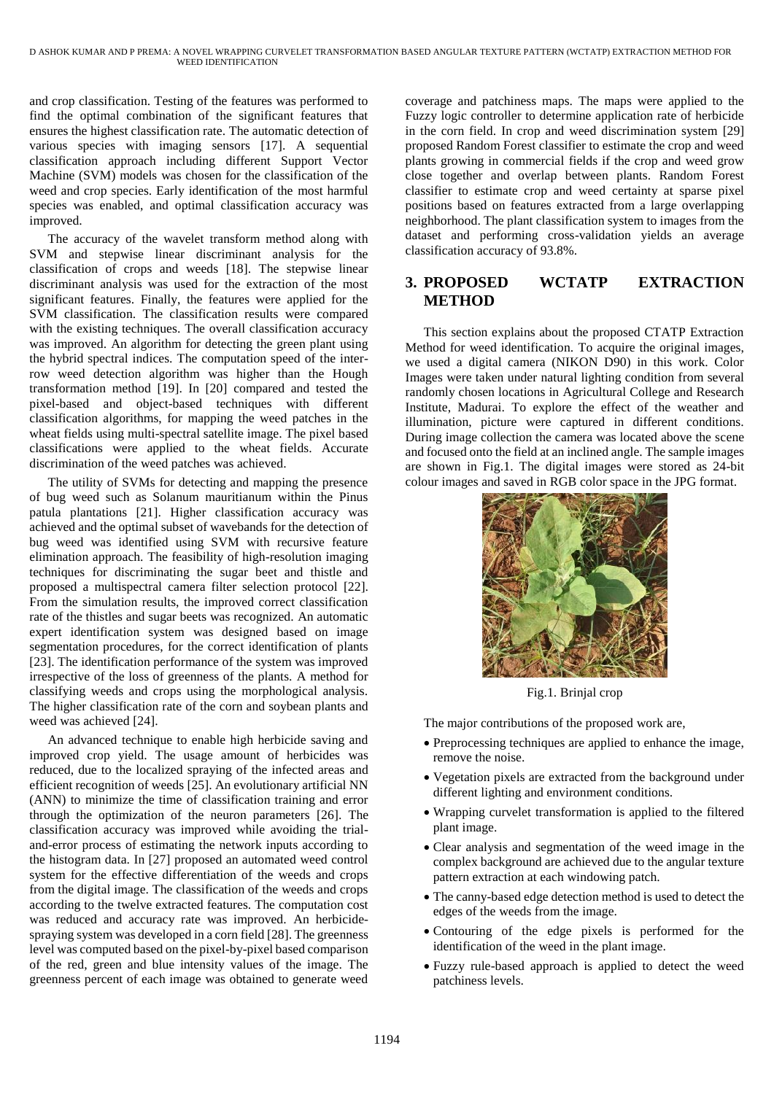and crop classification. Testing of the features was performed to find the optimal combination of the significant features that ensures the highest classification rate. The automatic detection of various species with imaging sensors [17]. A sequential classification approach including different Support Vector Machine (SVM) models was chosen for the classification of the weed and crop species. Early identification of the most harmful species was enabled, and optimal classification accuracy was improved.

The accuracy of the wavelet transform method along with SVM and stepwise linear discriminant analysis for the classification of crops and weeds [18]. The stepwise linear discriminant analysis was used for the extraction of the most significant features. Finally, the features were applied for the SVM classification. The classification results were compared with the existing techniques. The overall classification accuracy was improved. An algorithm for detecting the green plant using the hybrid spectral indices. The computation speed of the interrow weed detection algorithm was higher than the Hough transformation method [19]. In [20] compared and tested the pixel-based and object-based techniques with different classification algorithms, for mapping the weed patches in the wheat fields using multi-spectral satellite image. The pixel based classifications were applied to the wheat fields. Accurate discrimination of the weed patches was achieved.

The utility of SVMs for detecting and mapping the presence of bug weed such as Solanum mauritianum within the Pinus patula plantations [21]. Higher classification accuracy was achieved and the optimal subset of wavebands for the detection of bug weed was identified using SVM with recursive feature elimination approach. The feasibility of high-resolution imaging techniques for discriminating the sugar beet and thistle and proposed a multispectral camera filter selection protocol [22]. From the simulation results, the improved correct classification rate of the thistles and sugar beets was recognized. An automatic expert identification system was designed based on image segmentation procedures, for the correct identification of plants [23]. The identification performance of the system was improved irrespective of the loss of greenness of the plants. A method for classifying weeds and crops using the morphological analysis. The higher classification rate of the corn and soybean plants and weed was achieved [24].

An advanced technique to enable high herbicide saving and improved crop yield. The usage amount of herbicides was reduced, due to the localized spraying of the infected areas and efficient recognition of weeds [25]. An evolutionary artificial NN (ANN) to minimize the time of classification training and error through the optimization of the neuron parameters [26]. The classification accuracy was improved while avoiding the trialand-error process of estimating the network inputs according to the histogram data. In [27] proposed an automated weed control system for the effective differentiation of the weeds and crops from the digital image. The classification of the weeds and crops according to the twelve extracted features. The computation cost was reduced and accuracy rate was improved. An herbicidespraying system was developed in a corn field [28]. The greenness level was computed based on the pixel-by-pixel based comparison of the red, green and blue intensity values of the image. The greenness percent of each image was obtained to generate weed coverage and patchiness maps. The maps were applied to the Fuzzy logic controller to determine application rate of herbicide in the corn field. In crop and weed discrimination system [29] proposed Random Forest classifier to estimate the crop and weed plants growing in commercial fields if the crop and weed grow close together and overlap between plants. Random Forest classifier to estimate crop and weed certainty at sparse pixel positions based on features extracted from a large overlapping neighborhood. The plant classification system to images from the dataset and performing cross-validation yields an average classification accuracy of 93.8%.

# **3. PROPOSED WCTATP EXTRACTION METHOD**

This section explains about the proposed CTATP Extraction Method for weed identification. To acquire the original images, we used a digital camera (NIKON D90) in this work. Color Images were taken under natural lighting condition from several randomly chosen locations in Agricultural College and Research Institute, Madurai. To explore the effect of the weather and illumination, picture were captured in different conditions. During image collection the camera was located above the scene and focused onto the field at an inclined angle. The sample images are shown in Fig.1. The digital images were stored as 24-bit colour images and saved in RGB color space in the JPG format.



Fig.1. Brinjal crop

The major contributions of the proposed work are,

- Preprocessing techniques are applied to enhance the image, remove the noise.
- Vegetation pixels are extracted from the background under different lighting and environment conditions.
- Wrapping curvelet transformation is applied to the filtered plant image.
- Clear analysis and segmentation of the weed image in the complex background are achieved due to the angular texture pattern extraction at each windowing patch.
- The canny-based edge detection method is used to detect the edges of the weeds from the image.
- Contouring of the edge pixels is performed for the identification of the weed in the plant image.
- Fuzzy rule-based approach is applied to detect the weed patchiness levels.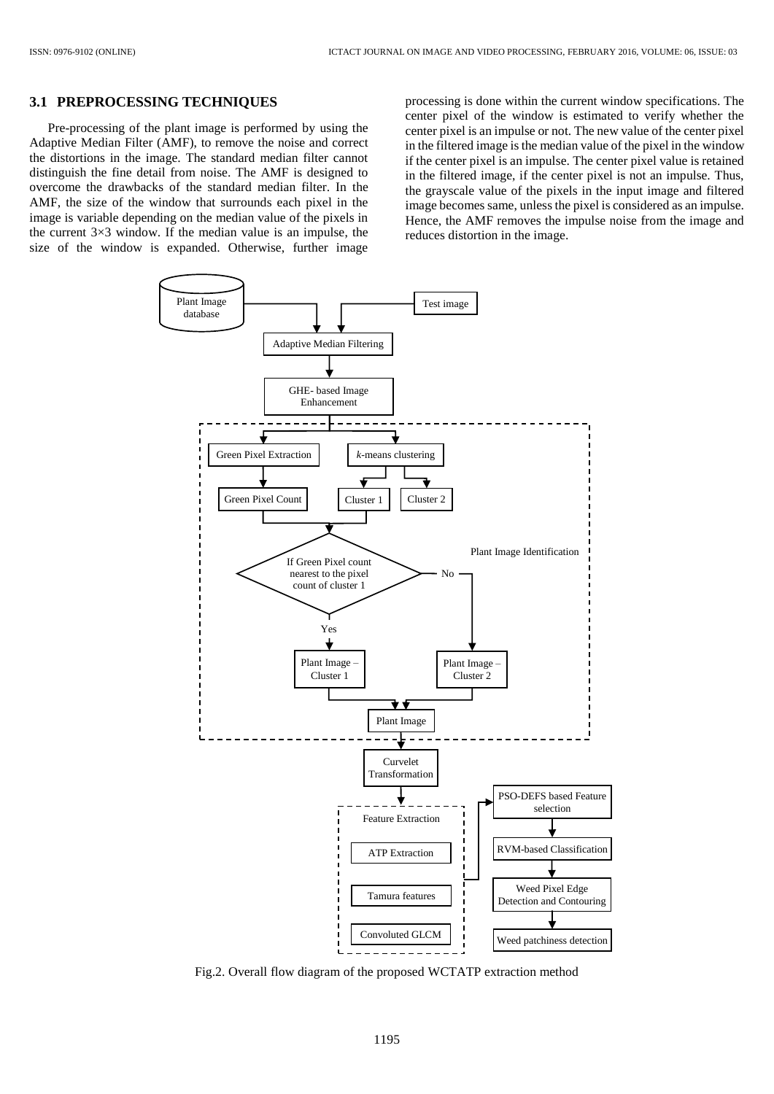## **3.1 PREPROCESSING TECHNIQUES**

Pre-processing of the plant image is performed by using the Adaptive Median Filter (AMF), to remove the noise and correct the distortions in the image. The standard median filter cannot distinguish the fine detail from noise. The AMF is designed to overcome the drawbacks of the standard median filter. In the AMF, the size of the window that surrounds each pixel in the image is variable depending on the median value of the pixels in the current  $3\times3$  window. If the median value is an impulse, the size of the window is expanded. Otherwise, further image

processing is done within the current window specifications. The center pixel of the window is estimated to verify whether the center pixel is an impulse or not. The new value of the center pixel in the filtered image is the median value of the pixel in the window if the center pixel is an impulse. The center pixel value is retained in the filtered image, if the center pixel is not an impulse. Thus, the grayscale value of the pixels in the input image and filtered image becomes same, unless the pixel is considered as an impulse. Hence, the AMF removes the impulse noise from the image and reduces distortion in the image.



Fig.2. Overall flow diagram of the proposed WCTATP extraction method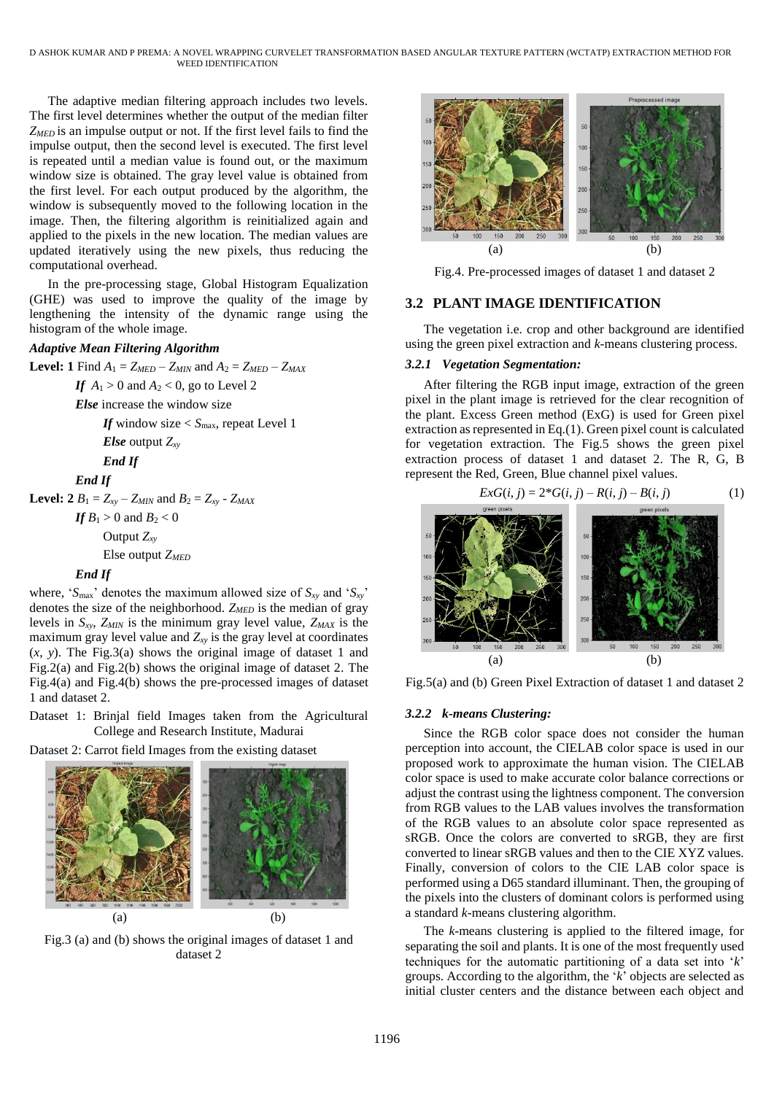D ASHOK KUMAR AND P PREMA: A NOVEL WRAPPING CURVELET TRANSFORMATION BASED ANGULAR TEXTURE PATTERN (WCTATP) EXTRACTION METHOD FOR WEED IDENTIFICATION

The adaptive median filtering approach includes two levels. The first level determines whether the output of the median filter *ZMED* is an impulse output or not. If the first level fails to find the impulse output, then the second level is executed. The first level is repeated until a median value is found out, or the maximum window size is obtained. The gray level value is obtained from the first level. For each output produced by the algorithm, the window is subsequently moved to the following location in the image. Then, the filtering algorithm is reinitialized again and applied to the pixels in the new location. The median values are updated iteratively using the new pixels, thus reducing the computational overhead.

In the pre-processing stage, Global Histogram Equalization (GHE) was used to improve the quality of the image by lengthening the intensity of the dynamic range using the histogram of the whole image.

## *Adaptive Mean Filtering Algorithm*

**Level: 1** Find  $A_1 = Z_{MED} - Z_{MIN}$  and  $A_2 = Z_{MED} - Z_{MAX}$ 

*If*  $A_1 > 0$  and  $A_2 < 0$ , go to Level 2

*Else* increase the window size

*If* window size  $\lt S$ <sub>max</sub>, repeat Level 1 *Else* output *Zxy End If*

*End If*

**Level: 2**  $B_1 = Z_{xy} - Z_{MIN}$  and  $B_2 = Z_{xy} - Z_{MAX}$ 

*If*  $B_1 > 0$  and  $B_2 < 0$ Output *Zxy*

Else output *ZMED*

## *End If*

where, ' $S_{\text{max}}$ ' denotes the maximum allowed size of  $S_{xy}$  and ' $S_{xy}$ ' denotes the size of the neighborhood. *ZMED* is the median of gray levels in *Sxy*, *ZMIN* is the minimum gray level value, *ZMAX* is the maximum gray level value and  $Z_{xy}$  is the gray level at coordinates (*x*, *y*). The Fig.3(a) shows the original image of dataset 1 and Fig.2(a) and Fig.2(b) shows the original image of dataset 2. The Fig.4(a) and Fig.4(b) shows the pre-processed images of dataset 1 and dataset 2.

Dataset 1: Brinjal field Images taken from the Agricultural College and Research Institute, Madurai

Dataset 2: Carrot field Images from the existing dataset



Fig.3 (a) and (b) shows the original images of dataset 1 and dataset 2



Fig.4. Pre-processed images of dataset 1 and dataset 2

## **3.2 PLANT IMAGE IDENTIFICATION**

The vegetation i.e. crop and other background are identified using the green pixel extraction and *k*-means clustering process.

## *3.2.1 Vegetation Segmentation:*

After filtering the RGB input image, extraction of the green pixel in the plant image is retrieved for the clear recognition of the plant. Excess Green method (ExG) is used for Green pixel extraction as represented in Eq.(1). Green pixel count is calculated for vegetation extraction. The Fig.5 shows the green pixel extraction process of dataset 1 and dataset 2. The R, G, B represent the Red, Green, Blue channel pixel values.



Fig.5(a) and (b) Green Pixel Extraction of dataset 1 and dataset 2

#### *3.2.2 k-means Clustering:*

Since the RGB color space does not consider the human perception into account, the CIELAB color space is used in our proposed work to approximate the human vision. The CIELAB color space is used to make accurate color balance corrections or adjust the contrast using the lightness component. The conversion from RGB values to the LAB values involves the transformation of the RGB values to an absolute color space represented as sRGB. Once the colors are converted to sRGB, they are first converted to linear sRGB values and then to the CIE XYZ values. Finally, conversion of colors to the CIE LAB color space is performed using a D65 standard illuminant. Then, the grouping of the pixels into the clusters of dominant colors is performed using a standard *k*-means clustering algorithm.

The *k*-means clustering is applied to the filtered image, for separating the soil and plants. It is one of the most frequently used techniques for the automatic partitioning of a data set into '*k*' groups. According to the algorithm, the '*k*' objects are selected as initial cluster centers and the distance between each object and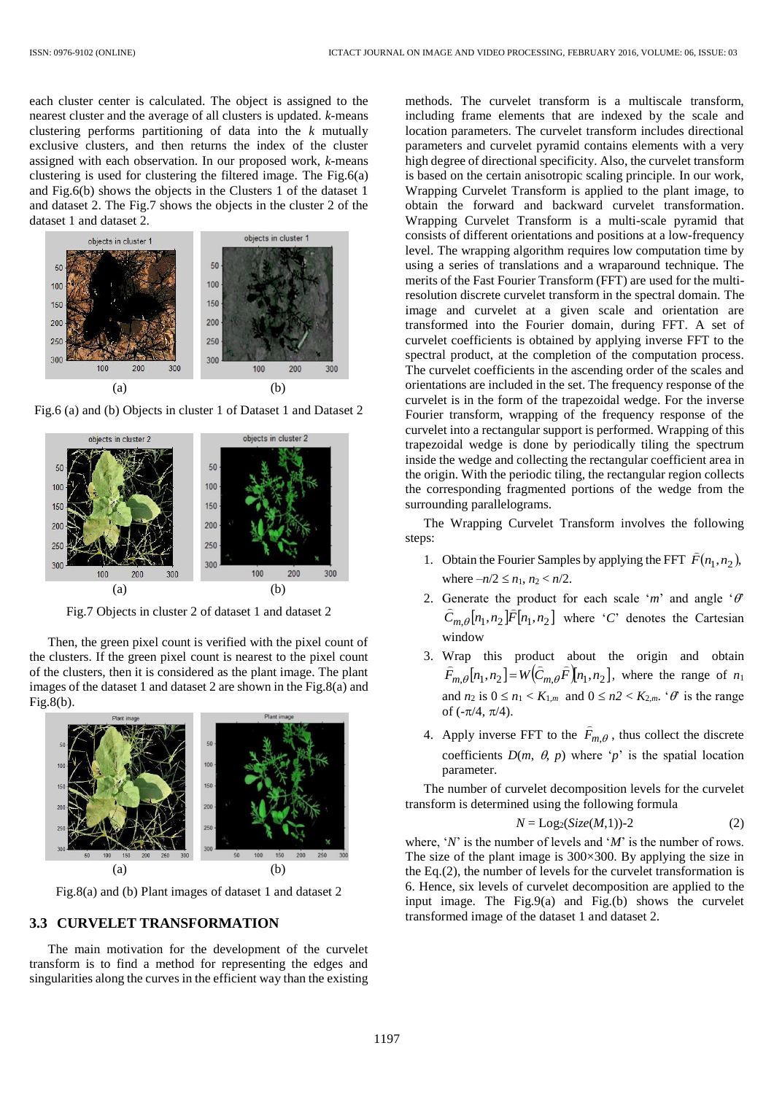each cluster center is calculated. The object is assigned to the nearest cluster and the average of all clusters is updated. *k*-means clustering performs partitioning of data into the *k* mutually exclusive clusters, and then returns the index of the cluster assigned with each observation. In our proposed work, *k*-means clustering is used for clustering the filtered image. The Fig.6(a) and Fig.6(b) shows the objects in the Clusters 1 of the dataset 1 and dataset 2. The Fig.7 shows the objects in the cluster 2 of the dataset 1 and dataset 2.





Fig.6 (a) and (b) Objects in cluster 1 of Dataset 1 and Dataset 2

Fig.7 Objects in cluster 2 of dataset 1 and dataset 2

Then, the green pixel count is verified with the pixel count of the clusters. If the green pixel count is nearest to the pixel count of the clusters, then it is considered as the plant image. The plant images of the dataset 1 and dataset 2 are shown in the Fig.8(a) and Fig.8(b).



Fig.8(a) and (b) Plant images of dataset 1 and dataset 2

# **3.3 CURVELET TRANSFORMATION**

The main motivation for the development of the curvelet transform is to find a method for representing the edges and singularities along the curves in the efficient way than the existing methods. The curvelet transform is a multiscale transform, including frame elements that are indexed by the scale and location parameters. The curvelet transform includes directional parameters and curvelet pyramid contains elements with a very high degree of directional specificity. Also, the curvelet transform is based on the certain anisotropic scaling principle. In our work, Wrapping Curvelet Transform is applied to the plant image, to obtain the forward and backward curvelet transformation. Wrapping Curvelet Transform is a multi-scale pyramid that consists of different orientations and positions at a low-frequency level. The wrapping algorithm requires low computation time by using a series of translations and a wraparound technique. The merits of the Fast Fourier Transform (FFT) are used for the multiresolution discrete curvelet transform in the spectral domain. The image and curvelet at a given scale and orientation are transformed into the Fourier domain, during FFT. A set of curvelet coefficients is obtained by applying inverse FFT to the spectral product, at the completion of the computation process. The curvelet coefficients in the ascending order of the scales and orientations are included in the set. The frequency response of the curvelet is in the form of the trapezoidal wedge. For the inverse Fourier transform, wrapping of the frequency response of the curvelet into a rectangular support is performed. Wrapping of this trapezoidal wedge is done by periodically tiling the spectrum inside the wedge and collecting the rectangular coefficient area in the origin. With the periodic tiling, the rectangular region collects the corresponding fragmented portions of the wedge from the surrounding parallelograms.

The Wrapping Curvelet Transform involves the following steps:

- 1. Obtain the Fourier Samples by applying the FFT  $\widehat{F}(n_1, n_2)$ , where  $-n/2 \le n_1$ ,  $n_2 < n/2$ .
- 2. Generate the product for each scale '*m*' and angle ' $\theta$  $C_{m,\theta}[n_1, n_2]F[n_1, n_2]$  where '*C*' denotes the Cartesian window
- 3. Wrap this product about the origin and obtain  $F_{m,\theta}[n_1, n_2] = W(C_{m,\theta} F[n_1, n_2])$  $\lim_{\epsilon \to 0} \lim_{n \to \infty} \frac{1}{n}$  $\partial_{\theta}[n_1, n_2] = W(C_{m,\theta} F[n_1, n_2],$  where the range of  $n_1$ and  $n_2$  is  $0 \le n_1 < K_{1,m}$  and  $0 \le n_2 < K_{2,m}$ . ' $\theta$ ' is the range of  $(-\pi/4, \pi/4)$ .  $\overline{a}$
- 4. Apply inverse FFT to the  $F_{m,\theta}$ , thus collect the discrete coefficients  $D(m, \theta, p)$  where '*p*' is the spatial location parameter.

The number of curvelet decomposition levels for the curvelet transform is determined using the following formula

$$
N = \text{Log}_2(Size(M,1)) - 2 \tag{2}
$$

where, '*N*' is the number of levels and '*M*' is the number of rows. The size of the plant image is 300×300. By applying the size in the Eq.(2), the number of levels for the curvelet transformation is 6. Hence, six levels of curvelet decomposition are applied to the input image. The Fig.9(a) and Fig.(b) shows the curvelet transformed image of the dataset 1 and dataset 2.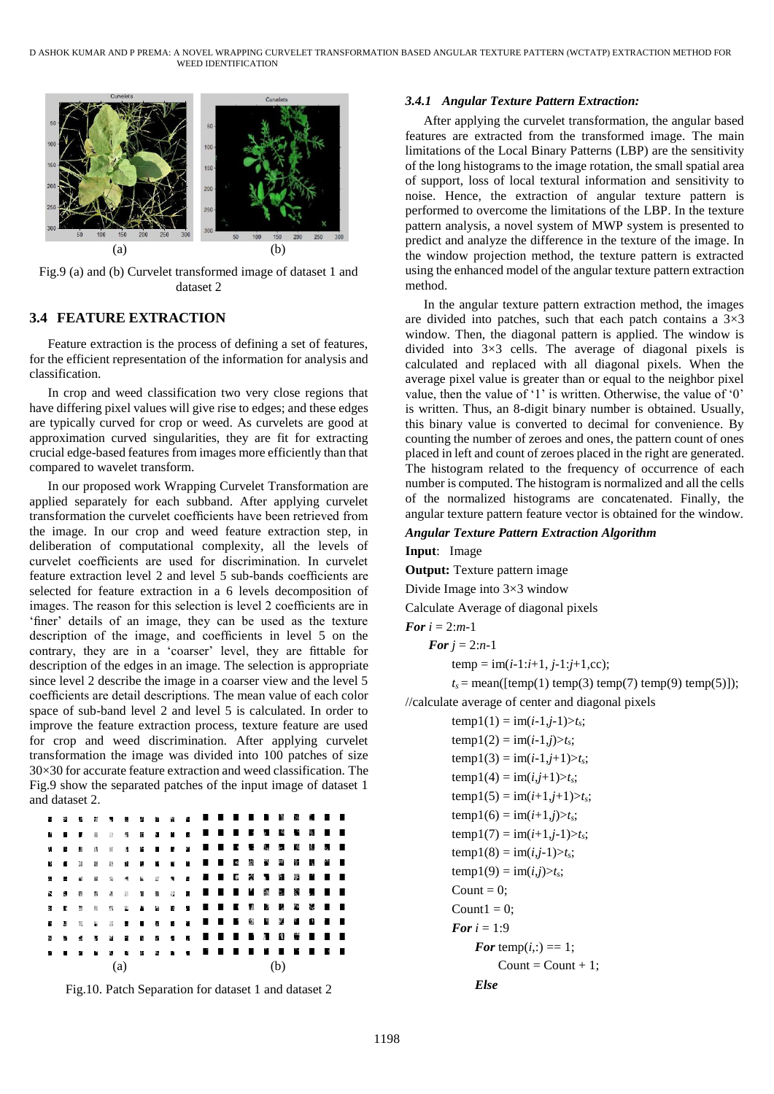

Fig.9 (a) and (b) Curvelet transformed image of dataset 1 and dataset 2

# **3.4 FEATURE EXTRACTION**

Feature extraction is the process of defining a set of features, for the efficient representation of the information for analysis and classification.

In crop and weed classification two very close regions that have differing pixel values will give rise to edges; and these edges are typically curved for crop or weed. As curvelets are good at approximation curved singularities, they are fit for extracting crucial edge-based features from images more efficiently than that compared to wavelet transform.

In our proposed work Wrapping Curvelet Transformation are applied separately for each subband. After applying curvelet transformation the curvelet coefficients have been retrieved from the image. In our crop and weed feature extraction step, in deliberation of computational complexity, all the levels of curvelet coefficients are used for discrimination. In curvelet feature extraction level 2 and level 5 sub-bands coefficients are selected for feature extraction in a 6 levels decomposition of images. The reason for this selection is level 2 coefficients are in 'finer' details of an image, they can be used as the texture description of the image, and coefficients in level 5 on the contrary, they are in a 'coarser' level, they are fittable for description of the edges in an image. The selection is appropriate since level 2 describe the image in a coarser view and the level 5 coefficients are detail descriptions. The mean value of each color space of sub-band level 2 and level 5 is calculated. In order to improve the feature extraction process, texture feature are used for crop and weed discrimination. After applying curvelet transformation the image was divided into 100 patches of size 30×30 for accurate feature extraction and weed classification. The Fig.9 show the separated patches of the input image of dataset 1 and dataset 2.



Fig.10. Patch Separation for dataset 1 and dataset 2

## *3.4.1 Angular Texture Pattern Extraction:*

After applying the curvelet transformation, the angular based features are extracted from the transformed image. The main limitations of the Local Binary Patterns (LBP) are the sensitivity of the long histograms to the image rotation, the small spatial area of support, loss of local textural information and sensitivity to noise. Hence, the extraction of angular texture pattern is performed to overcome the limitations of the LBP. In the texture pattern analysis, a novel system of MWP system is presented to predict and analyze the difference in the texture of the image. In the window projection method, the texture pattern is extracted using the enhanced model of the angular texture pattern extraction method.

In the angular texture pattern extraction method, the images are divided into patches, such that each patch contains a  $3\times3$ window. Then, the diagonal pattern is applied. The window is divided into 3×3 cells. The average of diagonal pixels is calculated and replaced with all diagonal pixels. When the average pixel value is greater than or equal to the neighbor pixel value, then the value of '1' is written. Otherwise, the value of '0' is written. Thus, an 8-digit binary number is obtained. Usually, this binary value is converted to decimal for convenience. By counting the number of zeroes and ones, the pattern count of ones placed in left and count of zeroes placed in the right are generated. The histogram related to the frequency of occurrence of each number is computed. The histogram is normalized and all the cells of the normalized histograms are concatenated. Finally, the angular texture pattern feature vector is obtained for the window.

## *Angular Texture Pattern Extraction Algorithm*

# **Input**: Image **Output:** Texture pattern image

Divide Image into 3×3 window

Calculate Average of diagonal pixels

```
For i = 2:m-1
```
*For*  $j = 2:n-1$ 

 $temp = im(i-1:i+1, j-1:j+1, cc);$ 

 $t_s$  = mean([temp(1) temp(3) temp(7) temp(9) temp(5)]); //calculate average of center and diagonal pixels

```
temp1(1) = im(i-1,j-1) > t_s;temp1(2) = im(i-1,j) > t_s;temp1(3) = im(i-1,j+1) > t_s;temp1(4) = im(i,j+1) > t_s;temp1(5) = im(i+1,j+1) > t_s;temp1(6) = im(i+1,j) > t_s;temp1(7) = im(i+1,j-1) > t_s;temp1(8) = im(i,j-1) > t_s;temp1(9) = im(i,j) > t_s;Count = 0:
Count1 = 0;
For i = 1:9For temp(i,:) == 1;
         Count = Count + 1;
    Else
```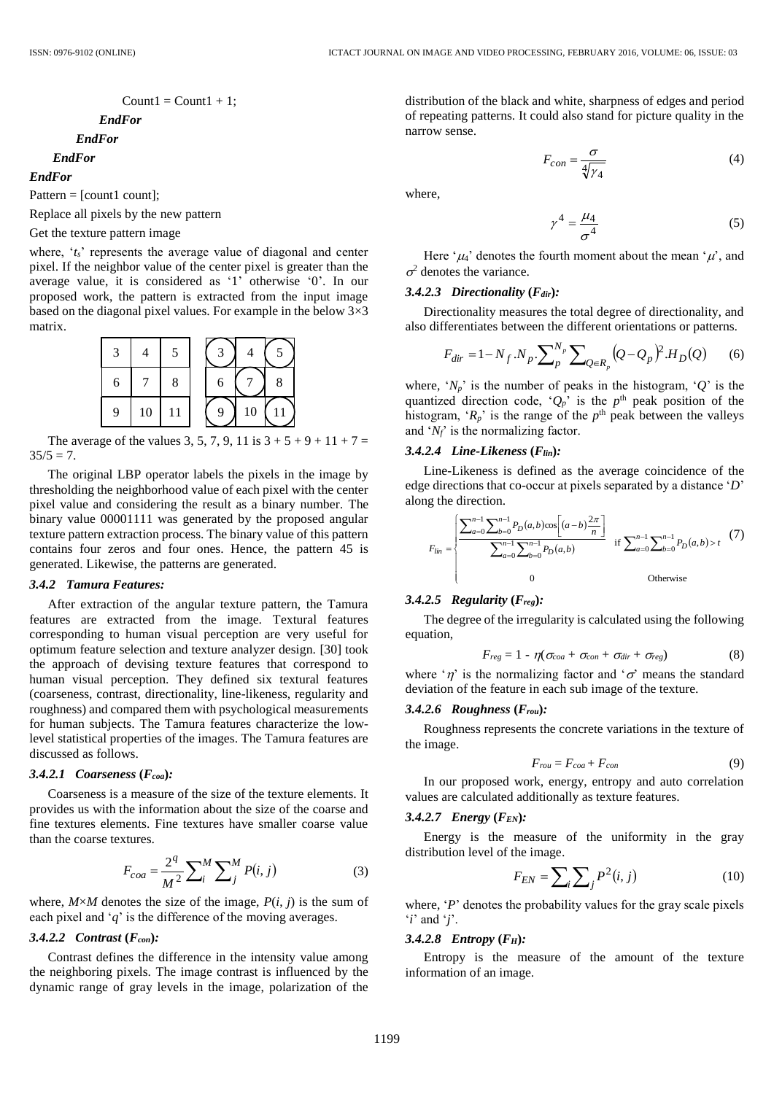$$
Count1 = Count1 + 1;
$$

*EndFor*

*EndFor*

# *EndFor*

*EndFor*

Pattern  $=$  [count];

Replace all pixels by the new pattern

## Get the texture pattern image

where, '*t<sub>s</sub>*' represents the average value of diagonal and center pixel. If the neighbor value of the center pixel is greater than the average value, it is considered as '1' otherwise '0'. In our proposed work, the pattern is extracted from the input image based on the diagonal pixel values. For example in the below  $3\times3$ matrix.



The average of the values 3, 5, 7, 9, 11 is  $3 + 5 + 9 + 11 + 7 =$  $35/5 = 7$ .

The original LBP operator labels the pixels in the image by thresholding the neighborhood value of each pixel with the center pixel value and considering the result as a binary number. The binary value 00001111 was generated by the proposed angular texture pattern extraction process. The binary value of this pattern contains four zeros and four ones. Hence, the pattern 45 is generated. Likewise, the patterns are generated.

#### *3.4.2 Tamura Features:*

After extraction of the angular texture pattern, the Tamura features are extracted from the image. Textural features corresponding to human visual perception are very useful for optimum feature selection and texture analyzer design. [30] took the approach of devising texture features that correspond to human visual perception. They defined six textural features (coarseness, contrast, directionality, line-likeness, regularity and roughness) and compared them with psychological measurements for human subjects. The Tamura features characterize the lowlevel statistical properties of the images. The Tamura features are discussed as follows.

## *3.4.2.1 Coarseness* **(***Fcoa***)***:*

Coarseness is a measure of the size of the texture elements. It provides us with the information about the size of the coarse and fine textures elements. Fine textures have smaller coarse value than the coarse textures.

$$
F_{coa} = \frac{2^q}{M^2} \sum_{i}^{M} \sum_{j}^{M} P(i, j)
$$
 (3)

where,  $M \times M$  denotes the size of the image,  $P(i, j)$  is the sum of each pixel and '*q*' is the difference of the moving averages.

## *3.4.2.2 Contrast* **(***Fcon***)***:*

Contrast defines the difference in the intensity value among the neighboring pixels. The image contrast is influenced by the dynamic range of gray levels in the image, polarization of the

distribution of the black and white, sharpness of edges and period of repeating patterns. It could also stand for picture quality in the narrow sense.

$$
F_{con} = \frac{\sigma}{\sqrt[4]{\gamma_4}}\tag{4}
$$

where,

$$
\gamma^4 = \frac{\mu_4}{\sigma^4} \tag{5}
$$

Here ' $\mu$ <sup>'</sup> denotes the fourth moment about the mean ' $\mu$ ', and  $\sigma^2$  denotes the variance.

## *3.4.2.3 Directionality* **(***Fdir***)***:*

Directionality measures the total degree of directionality, and also differentiates between the different orientations or patterns.

$$
F_{dir} = 1 - N_f . N_p . \sum_{p}^{N_p} \sum_{Q \in R_p} (Q - Q_p)^2 . H_D(Q) \tag{6}
$$

where,  $'N_p$  is the number of peaks in the histogram,  $'Q'$  is the quantized direction code, ' $Q_p$ ' is the  $p$ <sup>th</sup> peak position of the histogram, ' $R_p$ ' is the range of the  $p$ <sup>th</sup> peak between the valleys and '*Nf*' is the normalizing factor.

#### *3.4.2.4 Line-Likeness* **(***Flin***)***:*

Line-Likeness is defined as the average coincidence of the edge directions that co-occur at pixels separated by a distance '*D*' along the direction.

$$
F_{lin} = \begin{cases} \frac{\sum_{a=0}^{n-1} \sum_{b=0}^{n-1} P_D(a,b) \cos\left[ (a-b) \frac{2\pi}{n} \right]}{\sum_{a=0}^{n-1} \sum_{b=0}^{n-1} P_D(a,b)} & \text{if } \sum_{a=0}^{n-1} \sum_{b=0}^{n-1} P_D(a,b) > t \end{cases} (7)
$$
  
Otherwise

#### *3.4.2.5 Regularity* **(***Freg***)***:*

The degree of the irregularity is calculated using the following equation,

$$
F_{reg} = 1 - \eta(\sigma_{coa} + \sigma_{con} + \sigma_{dir} + \sigma_{reg})
$$
 (8)

where ' $\eta$ ' is the normalizing factor and ' $\sigma$ ' means the standard deviation of the feature in each sub image of the texture.

### *3.4.2.6 Roughness* **(***Frou***)***:*

Roughness represents the concrete variations in the texture of the image.

$$
F_{rou} = F_{coa} + F_{con}
$$
 (9)

In our proposed work, energy, entropy and auto correlation values are calculated additionally as texture features.

#### *3.4.2.7 Energy* **(***FEN***)***:*

Energy is the measure of the uniformity in the gray distribution level of the image.

$$
F_{EN} = \sum_{i} \sum_{j} P^2(i, j) \tag{10}
$$

where, '*P*' denotes the probability values for the gray scale pixels '*i*' and '*j*'.

#### *3.4.2.8 Entropy* **(***FH***)***:*

Entropy is the measure of the amount of the texture information of an image.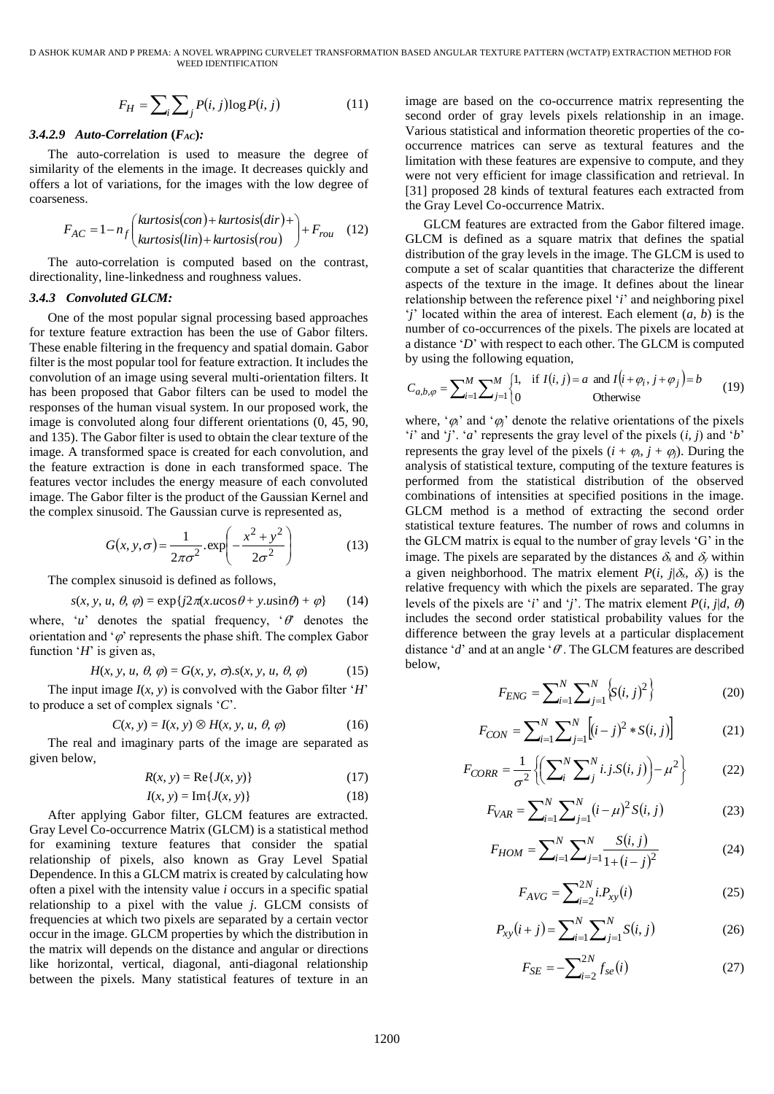D ASHOK KUMAR AND P PREMA: A NOVEL WRAPPING CURVELET TRANSFORMATION BASED ANGULAR TEXTURE PATTERN (WCTATP) EXTRACTION METHOD FOR WEED IDENTIFICATION

$$
F_H = \sum_{i} \sum_{j} P(i, j) \log P(i, j)
$$
 (11)

#### *3.4.2.9 Auto-Correlation* **(***FAC***)***:*

The auto-correlation is used to measure the degree of similarity of the elements in the image. It decreases quickly and offers a lot of variations, for the images with the low degree of coarseness.

$$
F_{AC} = 1 - n_f \left( \frac{kurtosis(con) + kurtosis(dir) +}{kurtosis(lin) + kurtosis(rou)} \right) + F_{rou}
$$
 (12)

The auto-correlation is computed based on the contrast, directionality, line-linkedness and roughness values.

#### *3.4.3 Convoluted GLCM:*

 $=\sum_{n} \sum_{j} P(i, j) \log P(i, j)$  (11)<br>
ation (*FAc*):<br>
(11)<br>
ation (*FAc*):<br>
(11)<br>
ation (*FAc*):<br>
(12)<br>
to mis used to measure the degree of<br>
tentis in the image. It decreases quickly and<br>
ons, for the images with the low degree One of the most popular signal processing based approaches for texture feature extraction has been the use of Gabor filters. These enable filtering in the frequency and spatial domain. Gabor filter is the most popular tool for feature extraction. It includes the convolution of an image using several multi-orientation filters. It has been proposed that Gabor filters can be used to model the responses of the human visual system. In our proposed work, the image is convoluted along four different orientations (0, 45, 90, and 135). The Gabor filter is used to obtain the clear texture of the image. A transformed space is created for each convolution, and the feature extraction is done in each transformed space. The features vector includes the energy measure of each convoluted image. The Gabor filter is the product of the Gaussian Kernel and the complex sinusoid. The Gaussian curve is represented as,

$$
G(x, y, \sigma) = \frac{1}{2\pi\sigma^2} \cdot \exp\left(-\frac{x^2 + y^2}{2\sigma^2}\right)
$$
 (13)

The complex sinusoid is defined as follows,

$$
s(x, y, u, \theta, \varphi) = \exp\{j2\pi(x.u\cos\theta + y.u\sin\theta) + \varphi\} \qquad (14)
$$

where, ' $u$ ' denotes the spatial frequency, ' $\theta$ ' denotes the orientation and ' $\varphi$ ' represents the phase shift. The complex Gabor function '*H*' is given as,

$$
H(x, y, u, \theta, \varphi) = G(x, y, \sigma) . s(x, y, u, \theta, \varphi)
$$
 (15)

The input image  $I(x, y)$  is convolved with the Gabor filter '*H*' to produce a set of complex signals '*C*'.

$$
C(x, y) = I(x, y) \otimes H(x, y, u, \theta, \varphi)
$$
 (16)

The real and imaginary parts of the image are separated as given below,

$$
R(x, y) = \text{Re}\{J(x, y)\}\tag{17}
$$

$$
I(x, y) = \text{Im}\{J(x, y)\}\
$$
 (18)

After applying Gabor filter, GLCM features are extracted. Gray Level Co-occurrence Matrix (GLCM) is a statistical method for examining texture features that consider the spatial relationship of pixels, also known as Gray Level Spatial Dependence. In this a GLCM matrix is created by calculating how often a pixel with the intensity value *i* occurs in a specific spatial relationship to a pixel with the value *j*. GLCM consists of frequencies at which two pixels are separated by a certain vector occur in the image. GLCM properties by which the distribution in the matrix will depends on the distance and angular or directions like horizontal, vertical, diagonal, anti-diagonal relationship between the pixels. Many statistical features of texture in an image are based on the co-occurrence matrix representing the second order of gray levels pixels relationship in an image. Various statistical and information theoretic properties of the cooccurrence matrices can serve as textural features and the limitation with these features are expensive to compute, and they were not very efficient for image classification and retrieval. In [31] proposed 28 kinds of textural features each extracted from the Gray Level Co-occurrence Matrix.

GLCM features are extracted from the Gabor filtered image. GLCM is defined as a square matrix that defines the spatial distribution of the gray levels in the image. The GLCM is used to compute a set of scalar quantities that characterize the different aspects of the texture in the image. It defines about the linear relationship between the reference pixel '*i*' and neighboring pixel '*j*' located within the area of interest. Each element (*a*, *b*) is the number of co-occurrences of the pixels. The pixels are located at a distance '*D*' with respect to each other. The GLCM is computed by using the following equation,

$$
C_{a,b,\varphi} = \sum_{i=1}^{M} \sum_{j=1}^{M} \begin{cases} 1, & \text{if } I(i,j) = a \text{ and } I(i+\varphi_i, j+\varphi_j) = b \\ 0 & \text{Otherwise} \end{cases}
$$
(19)

where, ' $\varphi_i$ ' and ' $\varphi_j$ ' denote the relative orientations of the pixels '*i*' and '*j*'. '*a*' represents the gray level of the pixels  $(i, j)$  and '*b*' represents the gray level of the pixels  $(i + \varphi_i, j + \varphi_j)$ . During the analysis of statistical texture, computing of the texture features is performed from the statistical distribution of the observed combinations of intensities at specified positions in the image. GLCM method is a method of extracting the second order statistical texture features. The number of rows and columns in the GLCM matrix is equal to the number of gray levels 'G' in the image. The pixels are separated by the distances  $\delta_x$  and  $\delta_y$  within a given neighborhood. The matrix element  $P(i, j | \delta_x, \delta_y)$  is the relative frequency with which the pixels are separated. The gray levels of the pixels are '*i*' and '*j*'. The matrix element  $P(i, j | d, \theta)$ includes the second order statistical probability values for the difference between the gray levels at a particular displacement distance  $'d'$  and at an angle  $'$   $\theta'$ . The GLCM features are described below,

$$
F_{ENG} = \sum_{i=1}^{N} \sum_{j=1}^{N} \left\{ S(i, j)^2 \right\}
$$
 (20)

$$
F_{CON} = \sum_{i=1}^{N} \sum_{j=1}^{N} \left[ (i-j)^2 * S(i,j) \right]
$$
 (21)

$$
F_{CORR} = \frac{1}{\sigma^2} \left\{ \left( \sum_{i}^{N} \sum_{j}^{N} i. j. S(i, j) \right) - \mu^2 \right\}
$$
(22)

$$
F_{VAR} = \sum_{i=1}^{N} \sum_{j=1}^{N} (i - \mu)^2 S(i, j)
$$
 (23)

$$
F_{HOM} = \sum_{i=1}^{N} \sum_{j=1}^{N} \frac{S(i,j)}{1 + (i-j)^2}
$$
 (24)

$$
F_{AVG} = \sum_{i=2}^{2N} i.P_{xy}(i)
$$
 (25)

$$
P_{xy}(i+j) = \sum_{i=1}^{N} \sum_{j=1}^{N} S(i, j)
$$
 (26)

$$
F_{SE} = -\sum_{i=2}^{2N} f_{se}(i)
$$
 (27)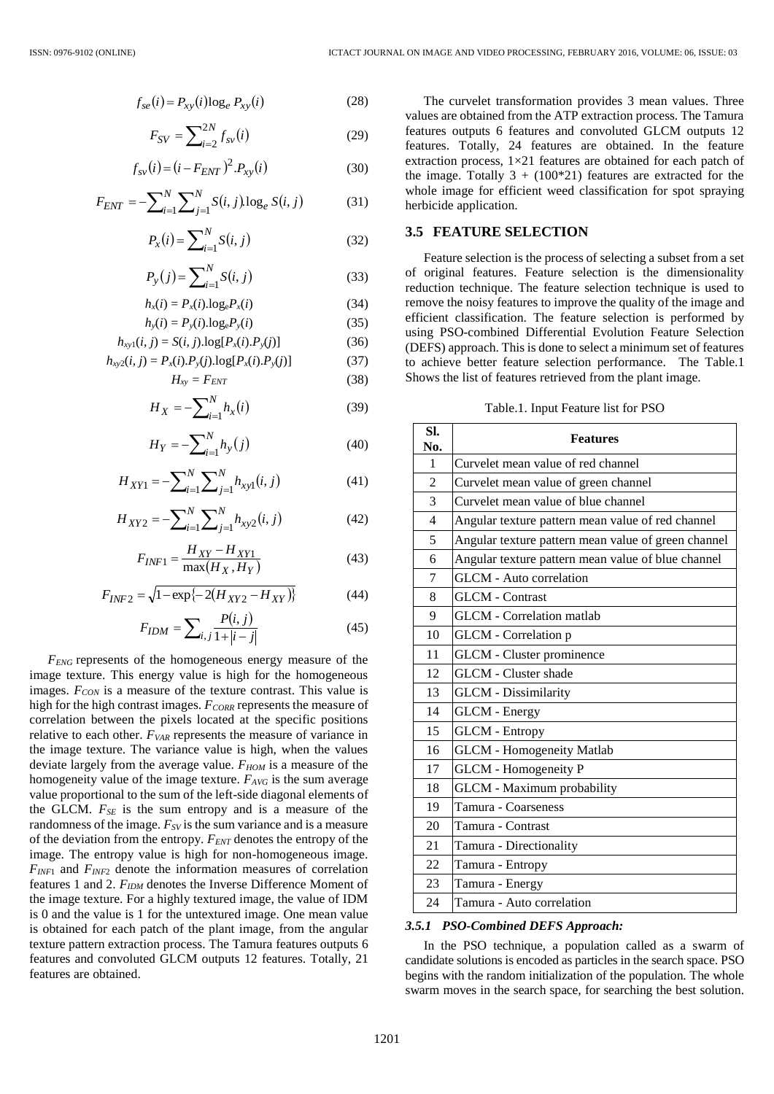$$
f_{se}(i) = P_{xy}(i) \log_e P_{xy}(i)
$$
 (28)

$$
F_{SV} = \sum_{i=2}^{2N} f_{sv}(i)
$$
 (29)

$$
f_{sv}(i) = (i - F_{ENT})^2 P_{xy}(i)
$$
 (30)

$$
F_{ENT} = -\sum_{i=1}^{N} \sum_{j=1}^{N} S(i, j) \log_e S(i, j)
$$
 (31)

$$
P_x(i) = \sum_{i=1}^{N} S(i, j)
$$
 (32)

$$
P_{y}(j) = \sum_{i=1}^{N} S(i, j)
$$
 (33)

$$
h_x(i) = P_x(i) \cdot \log_e P_x(i) \tag{34}
$$

$$
h_{y}(i) = P_{y}(i) \log_{e} P_{y}(i)
$$
\n(35)

$$
h_{xy1}(i, j) = S(i, j).log[P_x(i).P_y(j)]
$$
\n(36)

$$
h_{xy2}(i, j) = P_x(i).P_y(j).log[P_x(i).P_y(j)] \qquad (37)
$$

$$
H_{xy} = F_{ENT} \tag{38}
$$

$$
H_X = -\sum_{i=1}^{N} h_x(i)
$$
 (39)

$$
H_Y = -\sum_{i=1}^{N} h_y(j)
$$
 (40)

$$
H_{XY1} = -\sum_{i=1}^{N} \sum_{j=1}^{N} h_{xy1}(i, j)
$$
 (41)

$$
H_{XY2} = -\sum_{i=1}^{N} \sum_{j=1}^{N} h_{xy2}(i, j)
$$
 (42)

$$
F_{INF1} = \frac{H_{XY} - H_{XY1}}{\max(H_X, H_Y)}
$$
(43)

$$
F_{INF2} = \sqrt{1 - \exp\{-2(H_{XYZ} - H_{XY})\}}
$$
(44)

$$
F_{IDM} = \sum_{i,j} \frac{P(i,j)}{1 + |i - j|} \tag{45}
$$

 $f_{\text{sw}}(i) = P_{\text{sy}}(i) \log_e P_{\text{xy}}(i)$  (28)<br>  $F_{\text{SV}} = \sum_{i=2}^{N} f_{\text{sv}}(i)$  (29)<br>  $F_{\text{sv}}(i) = (i - F_{\text{ENT}})^2 P_{\text{sy}}(i)$  (30)<br>  $-\sum_{i=1}^{N} \sum_{j=1}^{N} S(i, j) \log_e S(i, j)$  (31)<br>  $P_x(i) = \sum_{i=1}^{N} S(i, j)$  (32)<br>  $P_y(j) = \sum_{i=1}^{N} S(i, j)$  (32)<br> *FENG* represents of the homogeneous energy measure of the image texture. This energy value is high for the homogeneous images. *FCON* is a measure of the texture contrast. This value is high for the high contrast images. *FCORR* represents the measure of correlation between the pixels located at the specific positions relative to each other. *FVAR* represents the measure of variance in the image texture. The variance value is high, when the values deviate largely from the average value. *FHOM* is a measure of the homogeneity value of the image texture. *FAVG* is the sum average value proportional to the sum of the left-side diagonal elements of the GLCM. *FSE* is the sum entropy and is a measure of the randomness of the image.  $F_{SV}$  is the sum variance and is a measure of the deviation from the entropy. *FENT* denotes the entropy of the image. The entropy value is high for non-homogeneous image. *FINF*<sup>1</sup> and *FINF*<sup>2</sup> denote the information measures of correlation features 1 and 2. *FIDM* denotes the Inverse Difference Moment of the image texture. For a highly textured image, the value of IDM is 0 and the value is 1 for the untextured image. One mean value is obtained for each patch of the plant image, from the angular texture pattern extraction process. The Tamura features outputs 6 features and convoluted GLCM outputs 12 features. Totally, 21 features are obtained.

The curvelet transformation provides 3 mean values. Three values are obtained from the ATP extraction process. The Tamura features outputs 6 features and convoluted GLCM outputs 12 features. Totally, 24 features are obtained. In the feature extraction process, 1×21 features are obtained for each patch of the image. Totally  $3 + (100*21)$  features are extracted for the whole image for efficient weed classification for spot spraying herbicide application.

## **3.5 FEATURE SELECTION**

Feature selection is the process of selecting a subset from a set of original features. Feature selection is the dimensionality reduction technique. The feature selection technique is used to remove the noisy features to improve the quality of the image and efficient classification. The feature selection is performed by using PSO-combined Differential Evolution Feature Selection (DEFS) approach. This is done to select a minimum set of features to achieve better feature selection performance. The Table.1 Shows the list of features retrieved from the plant image.

Table.1. Input Feature list for PSO

| SI.<br>No.               | <b>Features</b>                                     |
|--------------------------|-----------------------------------------------------|
| 1                        | Curvelet mean value of red channel                  |
| $\overline{2}$           | Curvelet mean value of green channel                |
| 3                        | Curvelet mean value of blue channel                 |
| $\overline{\mathcal{L}}$ | Angular texture pattern mean value of red channel   |
| 5                        | Angular texture pattern mean value of green channel |
| 6                        | Angular texture pattern mean value of blue channel  |
| 7                        | GLCM - Auto correlation                             |
| 8                        | <b>GLCM</b> - Contrast                              |
| 9                        | <b>GLCM</b> - Correlation matlab                    |
| 10                       | <b>GLCM</b> - Correlation p                         |
| 11                       | GLCM - Cluster prominence                           |
| 12                       | <b>GLCM</b> - Cluster shade                         |
| 13                       | <b>GLCM</b> - Dissimilarity                         |
| 14                       | GLCM - Energy                                       |
| 15                       | <b>GLCM</b> - Entropy                               |
| 16                       | <b>GLCM</b> - Homogeneity Matlab                    |
| 17                       | <b>GLCM</b> - Homogeneity P                         |
| 18                       | GLCM - Maximum probability                          |
| 19                       | Tamura - Coarseness                                 |
| 20                       | Tamura - Contrast                                   |
| 21                       | Tamura - Directionality                             |
| 22                       | Tamura - Entropy                                    |
| 23                       | Tamura - Energy                                     |
| 24                       | Tamura - Auto correlation                           |

#### *3.5.1 PSO-Combined DEFS Approach:*

In the PSO technique, a population called as a swarm of candidate solutions is encoded as particles in the search space. PSO begins with the random initialization of the population. The whole swarm moves in the search space, for searching the best solution.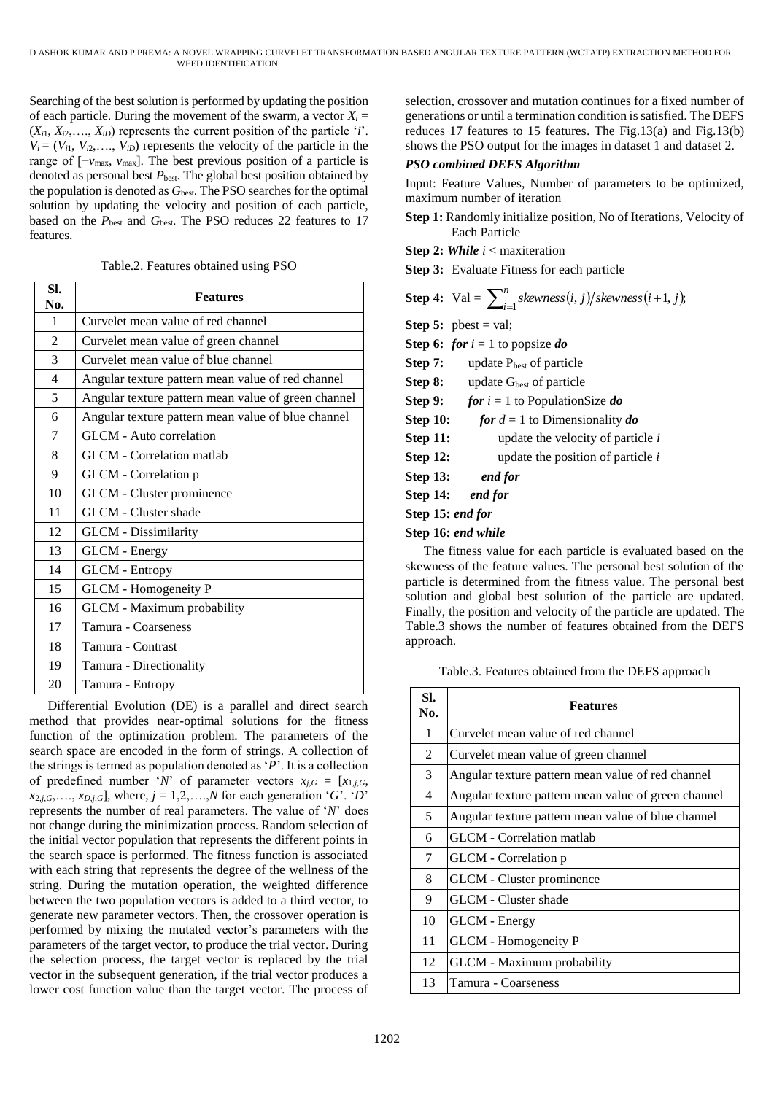Searching of the best solution is performed by updating the position of each particle. During the movement of the swarm, a vector  $X_i =$  $(X_{i1}, X_{i2}, \ldots, X_{iD})$  represents the current position of the particle '*i*'.  $V_i = (V_{i1}, V_{i2}, \ldots, V_{iD})$  represents the velocity of the particle in the range of [−*v*max, *v*max]. The best previous position of a particle is denoted as personal best  $P_{\text{best}}$ . The global best position obtained by the population is denoted as  $G_{best}$ . The PSO searches for the optimal solution by updating the velocity and position of each particle, based on the *P*<sub>best</sub> and *G*<sub>best</sub>. The PSO reduces 22 features to 17 features.

| Table.2. Features obtained using PSO |  |  |  |
|--------------------------------------|--|--|--|
|--------------------------------------|--|--|--|

| SI.<br>No.     | <b>Features</b>                                     |
|----------------|-----------------------------------------------------|
| $\mathbf{1}$   | Curvelet mean value of red channel                  |
| $\overline{2}$ | Curvelet mean value of green channel                |
| 3              | Curvelet mean value of blue channel                 |
| $\overline{4}$ | Angular texture pattern mean value of red channel   |
| 5              | Angular texture pattern mean value of green channel |
| 6              | Angular texture pattern mean value of blue channel  |
| 7              | GLCM - Auto correlation                             |
| 8              | <b>GLCM</b> - Correlation matlab                    |
| 9              | GLCM - Correlation p                                |
| 10             | GLCM - Cluster prominence                           |
| 11             | GLCM - Cluster shade                                |
| 12             | <b>GLCM</b> - Dissimilarity                         |
| 13             | <b>GLCM</b> - Energy                                |
| 14             | <b>GLCM</b> - Entropy                               |
| 15             | <b>GLCM</b> - Homogeneity P                         |
| 16             | GLCM - Maximum probability                          |
| 17             | Tamura - Coarseness                                 |
| 18             | Tamura - Contrast                                   |
| 19             | Tamura - Directionality                             |
| 20             | Tamura - Entropy                                    |

Differential Evolution (DE) is a parallel and direct search method that provides near-optimal solutions for the fitness function of the optimization problem. The parameters of the search space are encoded in the form of strings. A collection of the strings is termed as population denoted as '*P*'. It is a collection of predefined number '*N*' of parameter vectors  $x_{i,G} = [x_{1,i,G}]$ ,  $x_{2,j,G},..., x_{D,j,G}$ , where,  $j = 1,2,...,N$  for each generation '*G*'. '*D*' represents the number of real parameters. The value of '*N*' does not change during the minimization process. Random selection of the initial vector population that represents the different points in the search space is performed. The fitness function is associated with each string that represents the degree of the wellness of the string. During the mutation operation, the weighted difference between the two population vectors is added to a third vector, to generate new parameter vectors. Then, the crossover operation is performed by mixing the mutated vector's parameters with the parameters of the target vector, to produce the trial vector. During the selection process, the target vector is replaced by the trial vector in the subsequent generation, if the trial vector produces a lower cost function value than the target vector. The process of

selection, crossover and mutation continues for a fixed number of generations or until a termination condition is satisfied. The DEFS reduces 17 features to 15 features. The Fig.13(a) and Fig.13(b) shows the PSO output for the images in dataset 1 and dataset 2.

## *PSO combined DEFS Algorithm*

Input: Feature Values, Number of parameters to be optimized, maximum number of iteration

- **Step 1:** Randomly initialize position, No of Iterations, Velocity of Each Particle
- **Step 2:** *While i* < maxiteration

**Step 3:** Evaluate Fitness for each particle

Step 4: Val = 
$$
\sum_{i=1}^{n} skewness(i, j)/skewness(i+1, j)
$$
,

**Step 5:** pbest = val;

- **Step 6:** *for i* = 1 to popsize *do*
- **Step 7:** update P<sub>best</sub> of particle

**Step 8:** update G<sub>best</sub> of particle

**Step 9:** *for i* = 1 to PopulationSize *do*

**Step 10:** *for*  $d = 1$  to Dimensionality *do* 

- **Step 11:** update the velocity of particle *i*
- **Step 12:** update the position of particle *i*
- **Step 13:** *end for*

**Step 14:** *end for*

**Step 15:** *end for*

#### **Step 16:** *end while*

The fitness value for each particle is evaluated based on the skewness of the feature values. The personal best solution of the particle is determined from the fitness value. The personal best solution and global best solution of the particle are updated. Finally, the position and velocity of the particle are updated. The Table.3 shows the number of features obtained from the DEFS approach.

Table.3. Features obtained from the DEFS approach

| SI.<br>No.   | <b>Features</b>                                     |
|--------------|-----------------------------------------------------|
| $\mathbf{1}$ | Curvelet mean value of red channel                  |
| 2            | Curvelet mean value of green channel                |
| 3            | Angular texture pattern mean value of red channel   |
| 4            | Angular texture pattern mean value of green channel |
| 5            | Angular texture pattern mean value of blue channel  |
| 6            | <b>GLCM</b> - Correlation matlab                    |
| 7            | GLCM - Correlation p                                |
| 8            | GLCM - Cluster prominence                           |
| 9            | GLCM - Cluster shade                                |
| 10           | <b>GLCM</b> - Energy                                |
| 11           | <b>GLCM</b> - Homogeneity P                         |
| 12           | GLCM - Maximum probability                          |
| 13           | Tamura - Coarseness                                 |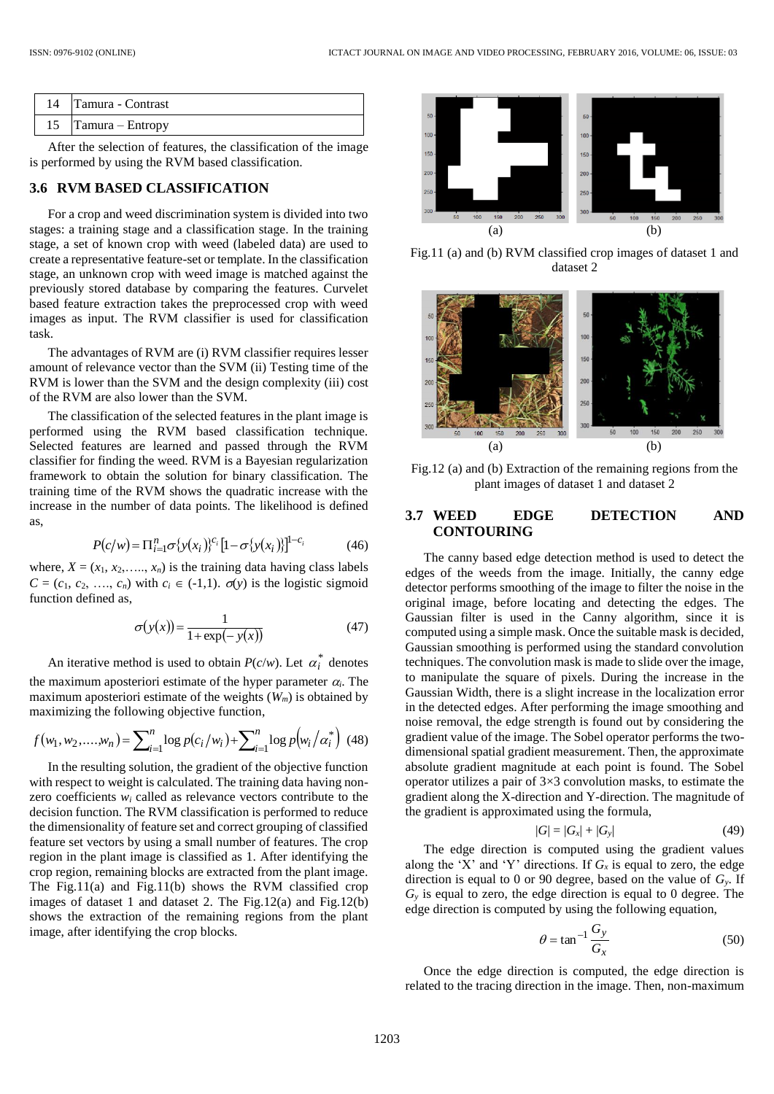| 14 Tamura - Contrast |
|----------------------|
| 15 Tamura – Entropy  |

After the selection of features, the classification of the image is performed by using the RVM based classification.

## **3.6 RVM BASED CLASSIFICATION**

For a crop and weed discrimination system is divided into two stages: a training stage and a classification stage. In the training stage, a set of known crop with weed (labeled data) are used to create a representative feature-set or template. In the classification stage, an unknown crop with weed image is matched against the previously stored database by comparing the features. Curvelet based feature extraction takes the preprocessed crop with weed images as input. The RVM classifier is used for classification task.

The advantages of RVM are (i) RVM classifier requires lesser amount of relevance vector than the SVM (ii) Testing time of the RVM is lower than the SVM and the design complexity (iii) cost of the RVM are also lower than the SVM.

The classification of the selected features in the plant image is performed using the RVM based classification technique. Selected features are learned and passed through the RVM classifier for finding the weed. RVM is a Bayesian regularization framework to obtain the solution for binary classification. The training time of the RVM shows the quadratic increase with the increase in the number of data points. The likelihood is defined as,

$$
P(c/w) = \Pi_{i=1}^{n} \sigma \{y(x_i)\}^{c_i} [1 - \sigma \{y(x_i)\}]^{1 - c_i}
$$
 (46)

where,  $X = (x_1, x_2, \ldots, x_n)$  is the training data having class labels  $C = (c_1, c_2, \ldots, c_n)$  with  $c_i \in (-1,1)$ .  $\sigma(y)$  is the logistic sigmoid function defined as,

$$
\sigma(y(x)) = \frac{1}{1 + \exp(-y(x))}
$$
\n(47)

An iterative method is used to obtain  $P(c/w)$ . Let  $\alpha_i^*$  denotes the maximum aposteriori estimate of the hyper parameter  $\alpha_i$ . The maximum aposteriori estimate of the weights (*Wm*) is obtained by maximizing the following objective function,

$$
f(w_1, w_2, \dots, w_n) = \sum_{i=1}^n \log p(c_i/w_i) + \sum_{i=1}^n \log p(w_i/\alpha_i^*)
$$
(48)

In the resulting solution, the gradient of the objective function with respect to weight is calculated. The training data having nonzero coefficients *w<sup>i</sup>* called as relevance vectors contribute to the decision function. The RVM classification is performed to reduce the dimensionality of feature set and correct grouping of classified feature set vectors by using a small number of features. The crop region in the plant image is classified as 1. After identifying the crop region, remaining blocks are extracted from the plant image. The Fig.11(a) and Fig.11(b) shows the RVM classified crop images of dataset 1 and dataset 2. The Fig.12(a) and Fig.12(b) shows the extraction of the remaining regions from the plant image, after identifying the crop blocks.



Fig.11 (a) and (b) RVM classified crop images of dataset 1 and dataset 2



Fig.12 (a) and (b) Extraction of the remaining regions from the plant images of dataset 1 and dataset 2

## **3.7 WEED EDGE DETECTION AND CONTOURING**

The canny based edge detection method is used to detect the edges of the weeds from the image. Initially, the canny edge detector performs smoothing of the image to filter the noise in the original image, before locating and detecting the edges. The Gaussian filter is used in the Canny algorithm, since it is computed using a simple mask. Once the suitable mask is decided, Gaussian smoothing is performed using the standard convolution techniques. The convolution mask is made to slide over the image, to manipulate the square of pixels. During the increase in the Gaussian Width, there is a slight increase in the localization error in the detected edges. After performing the image smoothing and noise removal, the edge strength is found out by considering the gradient value of the image. The Sobel operator performs the twodimensional spatial gradient measurement. Then, the approximate absolute gradient magnitude at each point is found. The Sobel operator utilizes a pair of 3×3 convolution masks, to estimate the gradient along the X-direction and Y-direction. The magnitude of the gradient is approximated using the formula,

$$
|G| = |G_x| + |G_y| \tag{49}
$$

The edge direction is computed using the gradient values along the 'X' and 'Y' directions. If  $G<sub>x</sub>$  is equal to zero, the edge direction is equal to 0 or 90 degree, based on the value of *Gy*. If *G<sup>y</sup>* is equal to zero, the edge direction is equal to 0 degree. The edge direction is computed by using the following equation,

$$
\theta = \tan^{-1} \frac{G_y}{G_x} \tag{50}
$$

Once the edge direction is computed, the edge direction is related to the tracing direction in the image. Then, non-maximum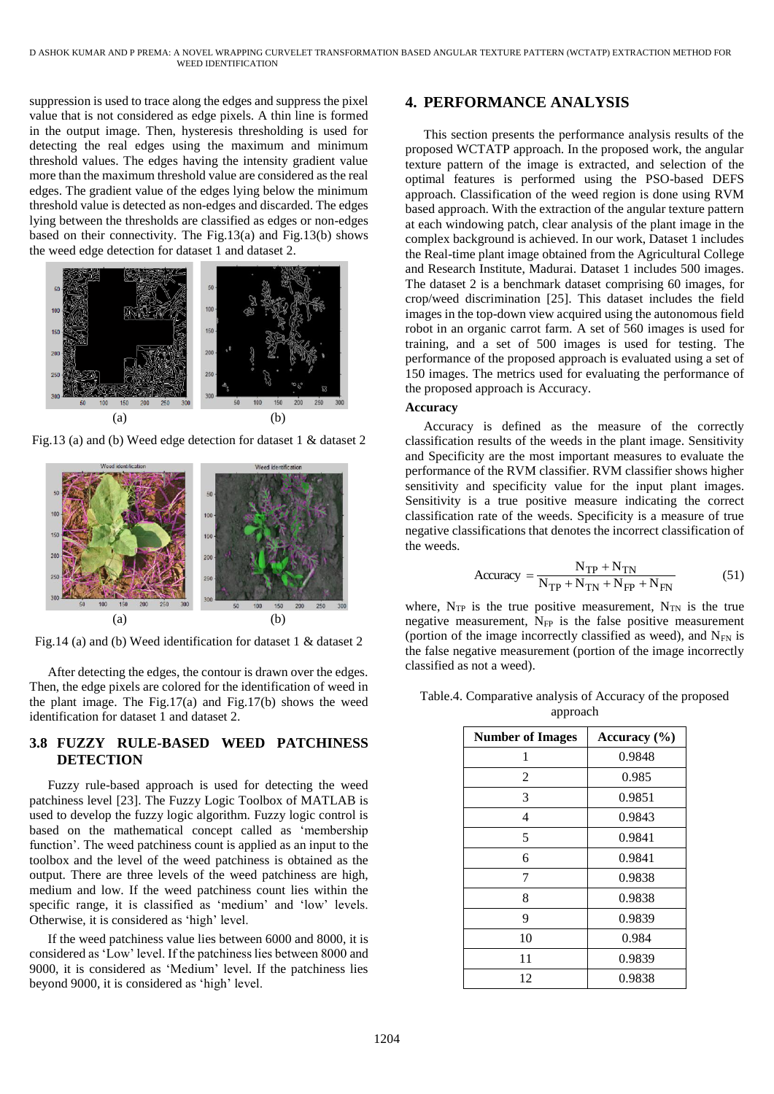suppression is used to trace along the edges and suppress the pixel value that is not considered as edge pixels. A thin line is formed in the output image. Then, hysteresis thresholding is used for detecting the real edges using the maximum and minimum threshold values. The edges having the intensity gradient value more than the maximum threshold value are considered as the real edges. The gradient value of the edges lying below the minimum threshold value is detected as non-edges and discarded. The edges lying between the thresholds are classified as edges or non-edges based on their connectivity. The Fig.13(a) and Fig.13(b) shows the weed edge detection for dataset 1 and dataset 2.



Fig.13 (a) and (b) Weed edge detection for dataset 1 & dataset 2



Fig.14 (a) and (b) Weed identification for dataset 1 & dataset 2

After detecting the edges, the contour is drawn over the edges. Then, the edge pixels are colored for the identification of weed in the plant image. The Fig.17(a) and Fig.17(b) shows the weed identification for dataset 1 and dataset 2.

## **3.8 FUZZY RULE-BASED WEED PATCHINESS DETECTION**

Fuzzy rule-based approach is used for detecting the weed patchiness level [23]. The Fuzzy Logic Toolbox of MATLAB is used to develop the fuzzy logic algorithm. Fuzzy logic control is based on the mathematical concept called as 'membership function'. The weed patchiness count is applied as an input to the toolbox and the level of the weed patchiness is obtained as the output. There are three levels of the weed patchiness are high, medium and low. If the weed patchiness count lies within the specific range, it is classified as 'medium' and 'low' levels. Otherwise, it is considered as 'high' level.

If the weed patchiness value lies between 6000 and 8000, it is considered as 'Low' level. If the patchiness lies between 8000 and 9000, it is considered as 'Medium' level. If the patchiness lies beyond 9000, it is considered as 'high' level.

# **4. PERFORMANCE ANALYSIS**

This section presents the performance analysis results of the proposed WCTATP approach. In the proposed work, the angular texture pattern of the image is extracted, and selection of the optimal features is performed using the PSO-based DEFS approach. Classification of the weed region is done using RVM based approach. With the extraction of the angular texture pattern at each windowing patch, clear analysis of the plant image in the complex background is achieved. In our work, Dataset 1 includes the Real-time plant image obtained from the Agricultural College and Research Institute, Madurai. Dataset 1 includes 500 images. The dataset 2 is a benchmark dataset comprising 60 images, for crop/weed discrimination [25]. This dataset includes the field images in the top-down view acquired using the autonomous field robot in an organic carrot farm. A set of 560 images is used for training, and a set of 500 images is used for testing. The performance of the proposed approach is evaluated using a set of 150 images. The metrics used for evaluating the performance of the proposed approach is Accuracy.

## **Accuracy**

Accuracy is defined as the measure of the correctly classification results of the weeds in the plant image. Sensitivity and Specificity are the most important measures to evaluate the performance of the RVM classifier. RVM classifier shows higher sensitivity and specificity value for the input plant images. Sensitivity is a true positive measure indicating the correct classification rate of the weeds. Specificity is a measure of true negative classifications that denotes the incorrect classification of the weeds.

$$
Accuracy = \frac{N_{TP} + N_{TN}}{N_{TP} + N_{TN} + N_{FP} + N_{FN}}
$$
 (51)

where,  $N_{TP}$  is the true positive measurement,  $N_{TN}$  is the true negative measurement,  $N_{FP}$  is the false positive measurement (portion of the image incorrectly classified as weed), and  $N_{FN}$  is the false negative measurement (portion of the image incorrectly classified as not a weed).

Table.4. Comparative analysis of Accuracy of the proposed approach

| <b>Number of Images</b> | Accuracy $(\% )$ |
|-------------------------|------------------|
| 1                       | 0.9848           |
| 2                       | 0.985            |
| 3                       | 0.9851           |
| 4                       | 0.9843           |
| 5                       | 0.9841           |
| 6                       | 0.9841           |
| 7                       | 0.9838           |
| 8                       | 0.9838           |
| 9                       | 0.9839           |
| 10                      | 0.984            |
| 11                      | 0.9839           |
| 12                      | 0.9838           |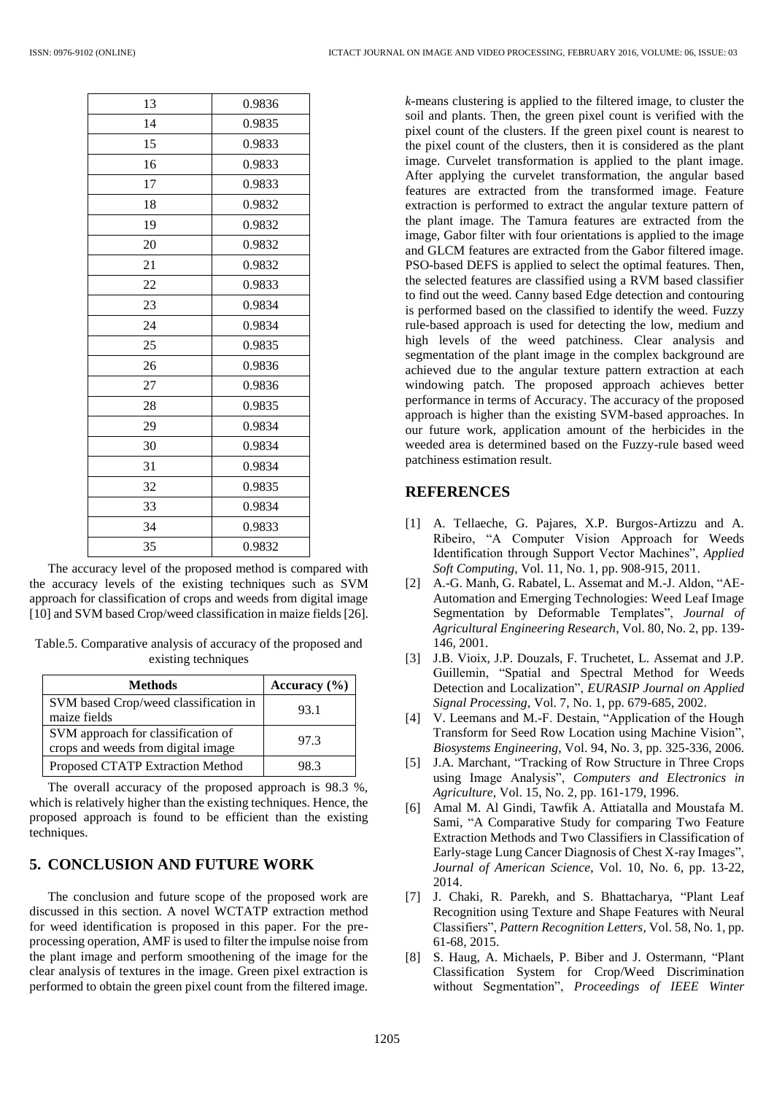| 13 | 0.9836 |
|----|--------|
| 14 | 0.9835 |
| 15 | 0.9833 |
| 16 | 0.9833 |
| 17 | 0.9833 |
| 18 | 0.9832 |
| 19 | 0.9832 |
| 20 | 0.9832 |
| 21 | 0.9832 |
| 22 | 0.9833 |
| 23 | 0.9834 |
| 24 | 0.9834 |
| 25 | 0.9835 |
| 26 | 0.9836 |
| 27 | 0.9836 |
| 28 | 0.9835 |
| 29 | 0.9834 |
| 30 | 0.9834 |
| 31 | 0.9834 |
| 32 | 0.9835 |
| 33 | 0.9834 |
| 34 | 0.9833 |
| 35 | 0.9832 |

The accuracy level of the proposed method is compared with the accuracy levels of the existing techniques such as SVM approach for classification of crops and weeds from digital image [10] and SVM based Crop/weed classification in maize fields [26].

Table.5. Comparative analysis of accuracy of the proposed and existing techniques

| <b>Methods</b>                                                           | Accuracy $(\% )$ |
|--------------------------------------------------------------------------|------------------|
| SVM based Crop/weed classification in<br>maize fields                    | 93.1             |
| SVM approach for classification of<br>crops and weeds from digital image | 97.3             |
| Proposed CTATP Extraction Method                                         | 98.3             |

The overall accuracy of the proposed approach is 98.3 %, which is relatively higher than the existing techniques. Hence, the proposed approach is found to be efficient than the existing techniques.

# **5. CONCLUSION AND FUTURE WORK**

The conclusion and future scope of the proposed work are discussed in this section. A novel WCTATP extraction method for weed identification is proposed in this paper. For the preprocessing operation, AMF is used to filter the impulse noise from the plant image and perform smoothening of the image for the clear analysis of textures in the image. Green pixel extraction is performed to obtain the green pixel count from the filtered image.

*k*-means clustering is applied to the filtered image, to cluster the soil and plants. Then, the green pixel count is verified with the pixel count of the clusters. If the green pixel count is nearest to the pixel count of the clusters, then it is considered as the plant image. Curvelet transformation is applied to the plant image. After applying the curvelet transformation, the angular based features are extracted from the transformed image. Feature extraction is performed to extract the angular texture pattern of the plant image. The Tamura features are extracted from the image, Gabor filter with four orientations is applied to the image and GLCM features are extracted from the Gabor filtered image. PSO-based DEFS is applied to select the optimal features. Then, the selected features are classified using a RVM based classifier to find out the weed. Canny based Edge detection and contouring is performed based on the classified to identify the weed. Fuzzy rule-based approach is used for detecting the low, medium and high levels of the weed patchiness. Clear analysis and segmentation of the plant image in the complex background are achieved due to the angular texture pattern extraction at each windowing patch. The proposed approach achieves better performance in terms of Accuracy. The accuracy of the proposed approach is higher than the existing SVM-based approaches. In our future work, application amount of the herbicides in the weeded area is determined based on the Fuzzy-rule based weed patchiness estimation result.

# **REFERENCES**

- [1] A. Tellaeche, G. Pajares, X.P. Burgos-Artizzu and A. Ribeiro, "A Computer Vision Approach for Weeds Identification through Support Vector Machines", *Applied Soft Computing*, Vol. 11, No. 1, pp. 908-915, 2011.
- [2] A.-G. Manh, G. Rabatel, L. Assemat and M.-J. Aldon, "AE-Automation and Emerging Technologies: Weed Leaf Image Segmentation by Deformable Templates", *Journal of Agricultural Engineering Research*, Vol. 80, No. 2, pp. 139- 146, 2001.
- [3] J.B. Vioix, J.P. Douzals, F. Truchetet, L. Assemat and J.P. Guillemin, "Spatial and Spectral Method for Weeds Detection and Localization", *EURASIP Journal on Applied Signal Processing*, Vol. 7, No. 1, pp. 679-685, 2002.
- [4] V. Leemans and M.-F. Destain, "Application of the Hough Transform for Seed Row Location using Machine Vision", *Biosystems Engineering*, Vol. 94, No. 3, pp. 325-336, 2006.
- [5] J.A. Marchant, "Tracking of Row Structure in Three Crops using Image Analysis", *Computers and Electronics in Agriculture*, Vol. 15, No. 2, pp. 161-179, 1996.
- [6] Amal M. Al Gindi, Tawfik A. Attiatalla and Moustafa M. Sami, "A Comparative Study for comparing Two Feature Extraction Methods and Two Classifiers in Classification of Early-stage Lung Cancer Diagnosis of Chest X-ray Images", *Journal of American Science*, Vol. 10, No. 6, pp. 13-22, 2014.
- [7] J. Chaki, R. Parekh, and S. Bhattacharya, "Plant Leaf Recognition using Texture and Shape Features with Neural Classifiers", *Pattern Recognition Letters*, Vol. 58, No. 1, pp. 61-68, 2015.
- [8] S. Haug, A. Michaels, P. Biber and J. Ostermann, "Plant Classification System for Crop/Weed Discrimination without Segmentation", *Proceedings of IEEE Winter*